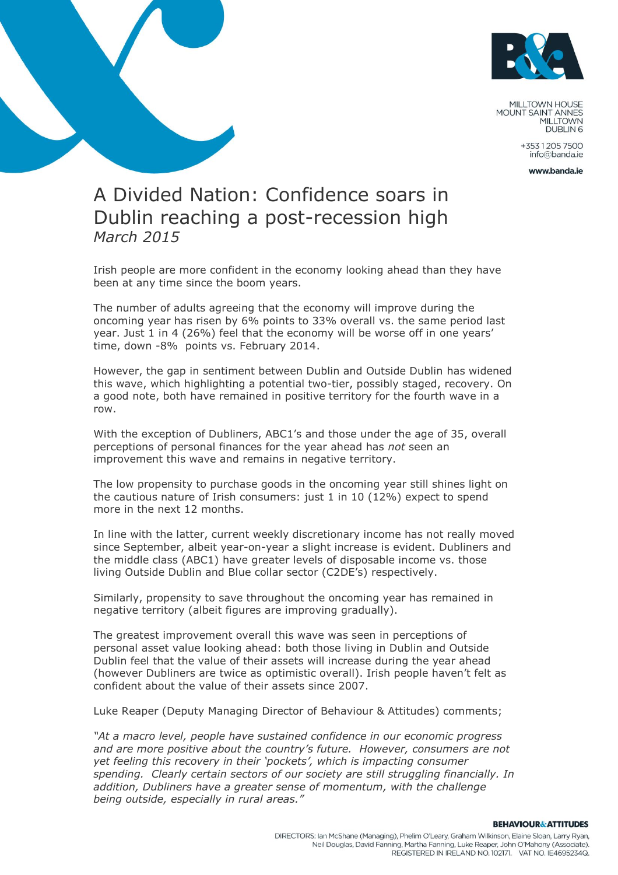

MILLTOWN HOUSE MOUNT SAINT ANNES **DUBLIN 6** 

> +35312057500 info@banda.ie

> > www.banda.je

## A Divided Nation: Confidence soars in Dublin reaching a post-recession high *March 2015*

Irish people are more confident in the economy looking ahead than they have been at any time since the boom years.

The number of adults agreeing that the economy will improve during the oncoming year has risen by 6% points to 33% overall vs. the same period last year. Just 1 in 4 (26%) feel that the economy will be worse off in one years' time, down -8% points vs. February 2014.

However, the gap in sentiment between Dublin and Outside Dublin has widened this wave, which highlighting a potential two-tier, possibly staged, recovery. On a good note, both have remained in positive territory for the fourth wave in a row.

With the exception of Dubliners, ABC1's and those under the age of 35, overall perceptions of personal finances for the year ahead has *not* seen an improvement this wave and remains in negative territory.

The low propensity to purchase goods in the oncoming year still shines light on the cautious nature of Irish consumers: just 1 in 10 (12%) expect to spend more in the next 12 months.

In line with the latter, current weekly discretionary income has not really moved since September, albeit year-on-year a slight increase is evident. Dubliners and the middle class (ABC1) have greater levels of disposable income vs. those living Outside Dublin and Blue collar sector (C2DE's) respectively.

Similarly, propensity to save throughout the oncoming year has remained in negative territory (albeit figures are improving gradually).

The greatest improvement overall this wave was seen in perceptions of personal asset value looking ahead: both those living in Dublin and Outside Dublin feel that the value of their assets will increase during the year ahead (however Dubliners are twice as optimistic overall). Irish people haven't felt as confident about the value of their assets since 2007.

Luke Reaper (Deputy Managing Director of Behaviour & Attitudes) comments;

*"At a macro level, people have sustained confidence in our economic progress and are more positive about the country's future. However, consumers are not yet feeling this recovery in their 'pockets', which is impacting consumer spending. Clearly certain sectors of our society are still struggling financially. In addition, Dubliners have a greater sense of momentum, with the challenge being outside, especially in rural areas."*